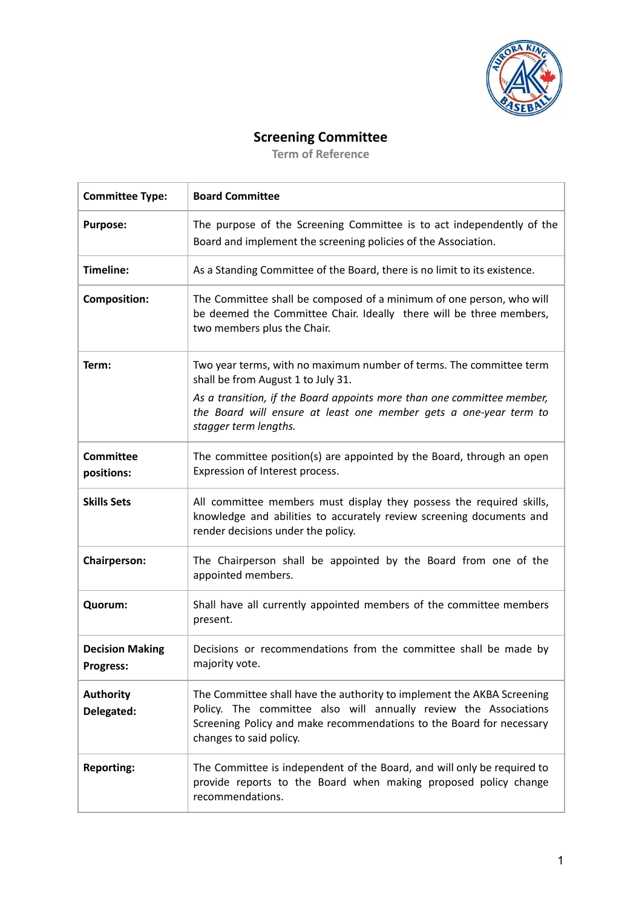

## **Screening Committee**

**Term of Reference**

| <b>Committee Type:</b>                     | <b>Board Committee</b>                                                                                                                                                                                                                        |
|--------------------------------------------|-----------------------------------------------------------------------------------------------------------------------------------------------------------------------------------------------------------------------------------------------|
| <b>Purpose:</b>                            | The purpose of the Screening Committee is to act independently of the<br>Board and implement the screening policies of the Association.                                                                                                       |
| Timeline:                                  | As a Standing Committee of the Board, there is no limit to its existence.                                                                                                                                                                     |
| <b>Composition:</b>                        | The Committee shall be composed of a minimum of one person, who will<br>be deemed the Committee Chair. Ideally there will be three members,<br>two members plus the Chair.                                                                    |
| Term:                                      | Two year terms, with no maximum number of terms. The committee term<br>shall be from August 1 to July 31.                                                                                                                                     |
|                                            | As a transition, if the Board appoints more than one committee member,<br>the Board will ensure at least one member gets a one-year term to<br>stagger term lengths.                                                                          |
| <b>Committee</b><br>positions:             | The committee position(s) are appointed by the Board, through an open<br>Expression of Interest process.                                                                                                                                      |
| <b>Skills Sets</b>                         | All committee members must display they possess the required skills,<br>knowledge and abilities to accurately review screening documents and<br>render decisions under the policy.                                                            |
| <b>Chairperson:</b>                        | The Chairperson shall be appointed by the Board from one of the<br>appointed members.                                                                                                                                                         |
| Quorum:                                    | Shall have all currently appointed members of the committee members<br>present.                                                                                                                                                               |
| <b>Decision Making</b><br><b>Progress:</b> | Decisions or recommendations from the committee shall be made by<br>majority vote.                                                                                                                                                            |
| <b>Authority</b><br>Delegated:             | The Committee shall have the authority to implement the AKBA Screening<br>Policy. The committee also will annually review the Associations<br>Screening Policy and make recommendations to the Board for necessary<br>changes to said policy. |
| <b>Reporting:</b>                          | The Committee is independent of the Board, and will only be required to<br>provide reports to the Board when making proposed policy change<br>recommendations.                                                                                |